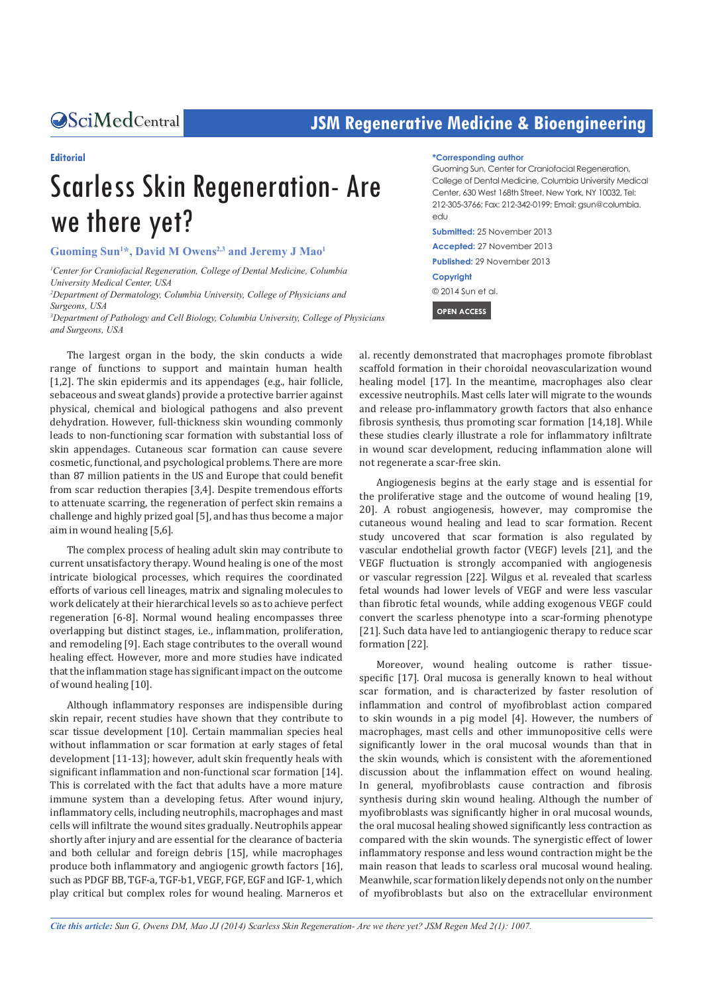# **CALCERT CONFIDENTIFY CONTRACT CONTRACT SETS** SIGNAL USE SERVICE SERVICE SERVICE SERVICE SERVICE SERVICE SERVICE S

### **Editorial**

# Scarless Skin Regeneration- Are we there yet?

**Guoming Sun1 \*, David M Owens2,3 and Jeremy J Mao1**

<sup>1</sup> Center for Craniofacial Regeneration, College of Dental Medicine, Columbia *University Medical Center, USA*

*2 Department of Dermatology, Columbia University, College of Physicians and Surgeons, USA*

*3 Department of Pathology and Cell Biology, Columbia University, College of Physicians and Surgeons, USA*

The largest organ in the body, the skin conducts a wide range of functions to support and maintain human health [1,2]. The skin epidermis and its appendages (e.g., hair follicle, sebaceous and sweat glands) provide a protective barrier against physical, chemical and biological pathogens and also prevent dehydration. However, full-thickness skin wounding commonly leads to non-functioning scar formation with substantial loss of skin appendages. Cutaneous scar formation can cause severe cosmetic, functional, and psychological problems. There are more than 87 million patients in the US and Europe that could benefit from scar reduction therapies [3,4]. Despite tremendous efforts to attenuate scarring, the regeneration of perfect skin remains a challenge and highly prized goal [5], and has thus become a major aim in wound healing [5,6].

The complex process of healing adult skin may contribute to current unsatisfactory therapy. Wound healing is one of the most intricate biological processes, which requires the coordinated efforts of various cell lineages, matrix and signaling molecules to work delicately at their hierarchical levels so as to achieve perfect regeneration [6-8]. Normal wound healing encompasses three overlapping but distinct stages, i.e., inflammation, proliferation, and remodeling [9]. Each stage contributes to the overall wound healing effect. However, more and more studies have indicated that the inflammation stage has significant impact on the outcome of wound healing [10].

Although inflammatory responses are indispensible during skin repair, recent studies have shown that they contribute to scar tissue development [10]. Certain mammalian species heal without inflammation or scar formation at early stages of fetal development [11-13]; however, adult skin frequently heals with significant inflammation and non-functional scar formation [14]. This is correlated with the fact that adults have a more mature immune system than a developing fetus. After wound injury, inflammatory cells, including neutrophils, macrophages and mast cells will infiltrate the wound sites gradually. Neutrophils appear shortly after injury and are essential for the clearance of bacteria and both cellular and foreign debris [15], while macrophages produce both inflammatory and angiogenic growth factors [16], such as PDGF BB, TGF-a, TGF-b1, VEGF, FGF, EGF and IGF-1, which play critical but complex roles for wound healing. Marneros et

#### **\*Corresponding author**

Guoming Sun, Center for Craniofacial Regeneration, College of Dental Medicine, Columbia University Medical Center, 630 West 168th Street, New York, NY 10032, Tel: 212-305-3766; Fax: 212-342-0199; Email: gsun@columbia. edu

**Submitted:** 25 November 2013 **Accepted:** 27 November 2013 **Published:** 29 November 2013 **Copyright** © 2014 Sun et al.

 **OPEN ACCESS** 

al. recently demonstrated that macrophages promote fibroblast scaffold formation in their choroidal neovascularization wound healing model [17]. In the meantime, macrophages also clear excessive neutrophils. Mast cells later will migrate to the wounds and release pro-inflammatory growth factors that also enhance fibrosis synthesis, thus promoting scar formation [14,18]. While these studies clearly illustrate a role for inflammatory infiltrate in wound scar development, reducing inflammation alone will not regenerate a scar-free skin.

Angiogenesis begins at the early stage and is essential for the proliferative stage and the outcome of wound healing [19, 20]. A robust angiogenesis, however, may compromise the cutaneous wound healing and lead to scar formation. Recent study uncovered that scar formation is also regulated by vascular endothelial growth factor (VEGF) levels [21], and the VEGF fluctuation is strongly accompanied with angiogenesis or vascular regression [22]. Wilgus et al. revealed that scarless fetal wounds had lower levels of VEGF and were less vascular than fibrotic fetal wounds, while adding exogenous VEGF could convert the scarless phenotype into a scar-forming phenotype [21]. Such data have led to antiangiogenic therapy to reduce scar formation [22].

Moreover, wound healing outcome is rather tissuespecific [17]. Oral mucosa is generally known to heal without scar formation, and is characterized by faster resolution of inflammation and control of myofibroblast action compared to skin wounds in a pig model [4]. However, the numbers of macrophages, mast cells and other immunopositive cells were significantly lower in the oral mucosal wounds than that in the skin wounds, which is consistent with the aforementioned discussion about the inflammation effect on wound healing. In general, myofibroblasts cause contraction and fibrosis synthesis during skin wound healing. Although the number of myofibroblasts was significantly higher in oral mucosal wounds, the oral mucosal healing showed significantly less contraction as compared with the skin wounds. The synergistic effect of lower inflammatory response and less wound contraction might be the main reason that leads to scarless oral mucosal wound healing. Meanwhile, scar formation likely depends not only on the number of myofibroblasts but also on the extracellular environment